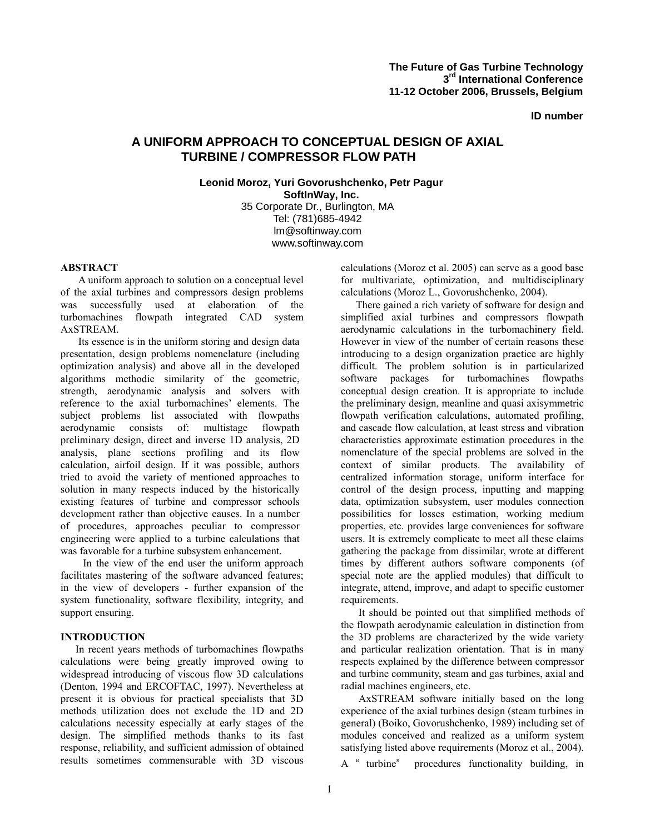**ID number** 

# **A UNIFORM APPROACH TO CONCEPTUAL DESIGN OF AXIAL TURBINE / COMPRESSOR FLOW PATH**

**Leonid Moroz, Yuri Govorushchenko, Petr Pagur SoftInWay, Inc.**  35 Corporate Dr., Burlington, MA Tel: (781)685-4942 lm@softinway.com www.softinway.com

## **ABSTRACT**

A uniform approach to solution on a conceptual level of the axial turbines and compressors design problems was successfully used at elaboration of the turbomachines flowpath integrated CAD system AxSTREAM.

Its essence is in the uniform storing and design data presentation, design problems nomenclature (including optimization analysis) and above all in the developed algorithms methodic similarity of the geometric, strength, aerodynamic analysis and solvers with reference to the axial turbomachines' elements. The subject problems list associated with flowpaths aerodynamic consists of: multistage flowpath preliminary design, direct and inverse 1D analysis, 2D analysis, plane sections profiling and its flow calculation, airfoil design. If it was possible, authors tried to avoid the variety of mentioned approaches to solution in many respects induced by the historically existing features of turbine and compressor schools development rather than objective causes. In a number of procedures, approaches peculiar to compressor engineering were applied to a turbine calculations that was favorable for a turbine subsystem enhancement.

In the view of the end user the uniform approach facilitates mastering of the software advanced features; in the view of developers - further expansion of the system functionality, software flexibility, integrity, and support ensuring.

## **INTRODUCTION**

In recent years methods of turbomachines flowpaths calculations were being greatly improved owing to widespread introducing of viscous flow 3D calculations (Denton, 1994 and ERCOFTAC, 1997). Nevertheless at present it is obvious for practical specialists that 3D methods utilization does not exclude the 1D and 2D calculations necessity especially at early stages of the design. The simplified methods thanks to its fast response, reliability, and sufficient admission of obtained results sometimes commensurable with 3D viscous

calculations (Moroz et al. 2005) can serve as a good base for multivariate, optimization, and multidisciplinary calculations (Moroz L., Govorushchenko, 2004).

There gained a rich variety of software for design and simplified axial turbines and compressors flowpath aerodynamic calculations in the turbomachinery field. However in view of the number of certain reasons these introducing to a design organization practice are highly difficult. The problem solution is in particularized software packages for turbomachines flowpaths conceptual design creation. It is appropriate to include the preliminary design, meanline and quasi axisymmetric flowpath verification calculations, automated profiling, and cascade flow calculation, at least stress and vibration characteristics approximate estimation procedures in the nomenclature of the special problems are solved in the context of similar products. The availability of centralized information storage, uniform interface for control of the design process, inputting and mapping data, optimization subsystem, user modules connection possibilities for losses estimation, working medium properties, etc. provides large conveniences for software users. It is extremely complicate to meet all these claims gathering the package from dissimilar, wrote at different times by different authors software components (of special note are the applied modules) that difficult to integrate, attend, improve, and adapt to specific customer requirements.

It should be pointed out that simplified methods of the flowpath aerodynamic calculation in distinction from the 3D problems are characterized by the wide variety and particular realization orientation. That is in many respects explained by the difference between compressor and turbine community, steam and gas turbines, axial and radial machines engineers, etc.

AxSTREAM software initially based on the long experience of the axial turbines design (steam turbines in general) (Boiko, Govorushchenko, 1989) including set of modules conceived and realized as a uniform system satisfying listed above requirements (Moroz et al., 2004).

A " turbine" procedures functionality building, in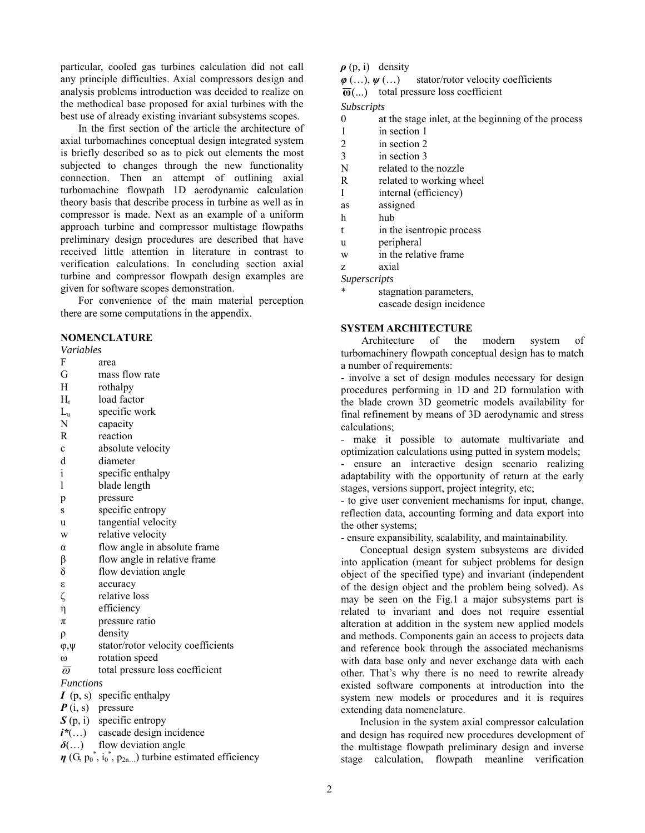particular, cooled gas turbines calculation did not call any principle difficulties. Axial compressors design and analysis problems introduction was decided to realize on the methodical base proposed for axial turbines with the best use of already existing invariant subsystems scopes.

In the first section of the article the architecture of axial turbomachines conceptual design integrated system is briefly described so as to pick out elements the most subjected to changes through the new functionality connection. Then an attempt of outlining axial turbomachine flowpath 1D aerodynamic calculation theory basis that describe process in turbine as well as in compressor is made. Next as an example of a uniform approach turbine and compressor multistage flowpaths preliminary design procedures are described that have received little attention in literature in contrast to verification calculations. In concluding section axial turbine and compressor flowpath design examples are given for software scopes demonstration.

For convenience of the main material perception there are some computations in the appendix.

## **NOMENCLATURE**

#### *Variables*

- F area
- G mass flow rate
- H rothalpy
- $H_t$  load factor
- $L<sub>u</sub>$  specific work
- N capacity
- R reaction
- c absolute velocity
- d diameter
- i specific enthalpy
- l blade length
- p pressure
- s specific entropy
- u tangential velocity
- w relative velocity
- α flow angle in absolute frame
- $\beta$  flow angle in relative frame
- $\delta$  flow deviation angle
- ε accuracy
- ζ relative loss
- η efficiency
- $\pi$  pressure ratio
- ρ density
- φ,ψ stator/rotor velocity coefficients
- ω rotation speed  $\overline{\omega}$  total pressure loss coefficient
- 

*Functions* 

- *I* (p, s) specific enthalpy
- *P* (i, s) pressure
- *S* (p, i) specific entropy
- *i\**(…) cascade design incidence
- *δ*(…) flow deviation angle
- $\eta$  (G,  $p_0^*$ ,  $i_0^*$ ,  $p_{2n...}$ ) turbine estimated efficiency

## $\rho$  (p, i) density

- *φ* (…), *ψ* (…) stator/rotor velocity coefficients
- **ω**(...) total pressure loss coefficient

*Subscripts*

- 0 at the stage inlet, at the beginning of the process
- 1 in section 1
- 2 in section 2
- 3 in section 3
- N related to the nozzle
- R related to working wheel
- I internal (efficiency)
- as assigned
- h hub
- t in the isentropic process
- u peripheral
- w in the relative frame
- z axial
- *Superscripts* 
	- stagnation parameters. cascade design incidence

### **SYSTEM ARCHITECTURE**

Architecture of the modern system of turbomachinery flowpath conceptual design has to match a number of requirements:

- involve a set of design modules necessary for design procedures performing in 1D and 2D formulation with the blade crown 3D geometric models availability for final refinement by means of 3D aerodynamic and stress calculations;

- make it possible to automate multivariate and optimization calculations using putted in system models;

- ensure an interactive design scenario realizing adaptability with the opportunity of return at the early stages, versions support, project integrity, etc;

- to give user convenient mechanisms for input, change, reflection data, accounting forming and data export into the other systems;

- ensure expansibility, scalability, and maintainability.

Conceptual design system subsystems are divided into application (meant for subject problems for design object of the specified type) and invariant (independent of the design object and the problem being solved). As may be seen on the Fig.1 a major subsystems part is related to invariant and does not require essential alteration at addition in the system new applied models and methods. Components gain an access to projects data and reference book through the associated mechanisms with data base only and never exchange data with each other. That's why there is no need to rewrite already existed software components at introduction into the system new models or procedures and it is requires extending data nomenclature.

Inclusion in the system axial compressor calculation and design has required new procedures development of the multistage flowpath preliminary design and inverse stage calculation, flowpath meanline verification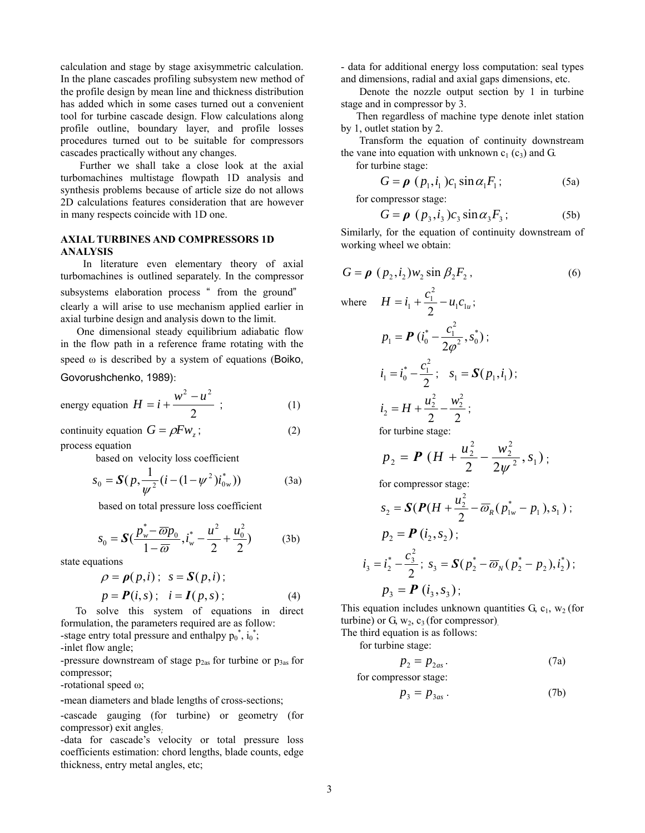calculation and stage by stage axisymmetric calculation. In the plane cascades profiling subsystem new method of the profile design by mean line and thickness distribution has added which in some cases turned out a convenient tool for turbine cascade design. Flow calculations along profile outline, boundary layer, and profile losses procedures turned out to be suitable for compressors cascades practically without any changes.

Further we shall take a close look at the axial turbomachines multistage flowpath 1D analysis and synthesis problems because of article size do not allows 2D calculations features consideration that are however in many respects coincide with 1D one.

## **AXIAL TURBINES AND COMPRESSORS 1D ANALYSIS**

In literature even elementary theory of axial turbomachines is outlined separately. In the compressor subsystems elaboration process " from the ground" clearly a will arise to use mechanism applied earlier in axial turbine design and analysis down to the limit.

One dimensional steady equilibrium adiabatic flow in the flow path in a reference frame rotating with the speed ω is described by a system of equations (Boiko, Govorushchenko, 1989):

energy equation 
$$
H = i + \frac{w^2 - u^2}{2}
$$
; (1)

continuity equation  $G = \rho F w_z$ ; (2) process equation

based on velocity loss coefficient

$$
s_0 = \mathbf{S}(p, \frac{1}{\psi^2}(i - (1 - \psi^2)i_{0w}^*))
$$
 (3a)

based on total pressure loss coefficient

$$
s_0 = \mathbf{S} \left( \frac{p_w^* - \overline{\omega} p_0}{1 - \overline{\omega}}, i_w^* - \frac{u^2}{2} + \frac{u_0^2}{2} \right) \tag{3b}
$$

state equations

$$
\rho = \rho(p, i); \quad s = S(p, i);
$$
  
\n
$$
p = P(i, s); \quad i = I(p, s); \tag{4}
$$

To solve this system of equations in direct formulation, the parameters required are as follow: -stage entry total pressure and enthalpy  $p_0^*$ ,  $i_0^*$ ;

-inlet flow angle;

-pressure downstream of stage  $p_{2as}$  for turbine or  $p_{3as}$  for compressor;

-rotational speed ω;

-mean diameters and blade lengths of cross-sections;

-cascade gauging (for turbine) or geometry (for compressor) exit angles*;*

-data for cascade's velocity or total pressure loss coefficients estimation: chord lengths, blade counts, edge thickness, entry metal angles, etc;

- data for additional energy loss computation: seal types and dimensions, radial and axial gaps dimensions, etc.

Denote the nozzle output section by 1 in turbine stage and in compressor by 3.

Then regardless of machine type denote inlet station by 1, outlet station by 2.

Transform the equation of continuity downstream the vane into equation with unknown  $c_1$  ( $c_3$ ) and G.

for turbine stage:

$$
G = \boldsymbol{\rho} \, \left( \, p_1, i_1 \, \right) c_1 \sin \alpha_1 F_1 \, ; \tag{5a}
$$

for compressor stage:

$$
G = \boldsymbol{\rho} \, (p_3, i_3) c_3 \sin \alpha_3 F_3; \tag{5b}
$$

Similarly, for the equation of continuity downstream of working wheel we obtain:

$$
G = \rho (p_2, i_2) w_2 \sin \beta_2 F_2,
$$
\n(6)

\nwhere  $H = i_1 + \frac{c_1^2}{2} - u_1 c_{1u}$ ;

\n
$$
p_1 = P (i_0^* - \frac{c_1^2}{2\rho^2}, s_0^*);
$$
\n
$$
i_1 = i_0^* - \frac{c_1^2}{2}; \quad s_1 = S(p_1, i_1);
$$
\n
$$
i_2 = H + \frac{u_2^2}{2} - \frac{w_2^2}{2};
$$
\nfor turbine stage:

\n
$$
u^2 = w^2
$$

$$
p_2 = P\left(H + \frac{u_2^2}{2} - \frac{w_2^2}{2\psi^2}, s_1\right);
$$

for compressor stage:

$$
s_2 = \mathbf{S}(\mathbf{P}(H + \frac{u_2^2}{2} - \overline{\omega}_R(p_{1w}^* - p_1), s_1);
$$
  
\n
$$
p_2 = \mathbf{P}(i_2, s_2);
$$
  
\n
$$
i_3 = i_2^* - \frac{c_3^2}{2}; s_3 = \mathbf{S}(p_2^* - \overline{\omega}_N(p_2^* - p_2), i_2^*);
$$
  
\n
$$
p_3 = \mathbf{P}(i_3, s_3);
$$

This equation includes unknown quantities  $G_1$ ,  $w_2$  (for turbine) or G,  $w_2$ ,  $c_3$  (for compressor).

The third equation is as follows:

for turbine stage:

$$
p_2 = p_{2as}.\tag{7a}
$$

for compressor stage:

$$
p_3 = p_{3as} \tag{7b}
$$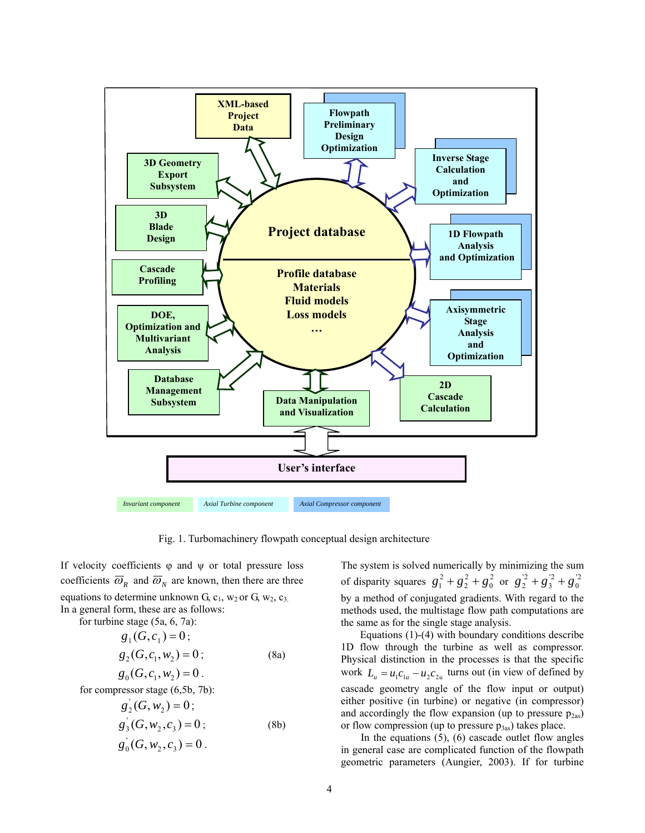

Fig. 1. Turbomachinery flowpath conceptual design architecture

If velocity coefficients  $\varphi$  and  $\psi$  or total pressure loss coefficients  $\overline{\omega}_R$  and  $\overline{\omega}_N$  are known, then there are three equations to determine unknown G,  $c_1$ , w<sub>2</sub> or G, w<sub>2</sub>,  $c_3$ . In a general form, these are as follows:

for turbine stage (5a, 6, 7a):  $g_1$   $(G, c_1) = 0$ ;  $g_2(G, c_1, w_2) = 0;$  (8a)  $g_0(G, c_1, w_2) = 0$ .

for compressor stage (6,5b, 7b):

$$
g'_2(G, w_2) = 0;
$$

$$
g_3(G, w_2, c_3) = 0;
$$
 (8b)  

$$
g_0(G, w_2, c_3) = 0.
$$

The system is solved numerically by minimizing the sum of disparity squares  $g_1^2 + g_2^2 + g_0^2$  or by a method of conjugated gradients. With regard to the methods used, the multistage flow path computations are the same as for the single stage analysis. 0 2 2  $g_1^2 + g_2^2 + g_0^2$  or  $g_2^2 + g_3^2 + g_0^2$ '2 3  $g_2^{2} + g_3^{2} + g_4$ 

Equations (1)-(4) with boundary conditions describe 1D flow through the turbine as well as compressor. Physical distinction in the processes is that the specific work  $L_u = u_1 c_{1u} - u_2 c_{2u}$  turns out (in view of defined by cascade geometry angle of the flow input or output) either positive (in turbine) or negative (in compressor) and accordingly the flow expansion (up to pressure  $p_{2as}$ ) or flow compression (up to pressure  $p_{3as}$ ) takes place.

In the equations  $(5)$ ,  $(6)$  cascade outlet flow angles in general case are complicated function of the flowpath geometric parameters (Aungier, 2003). If for turbine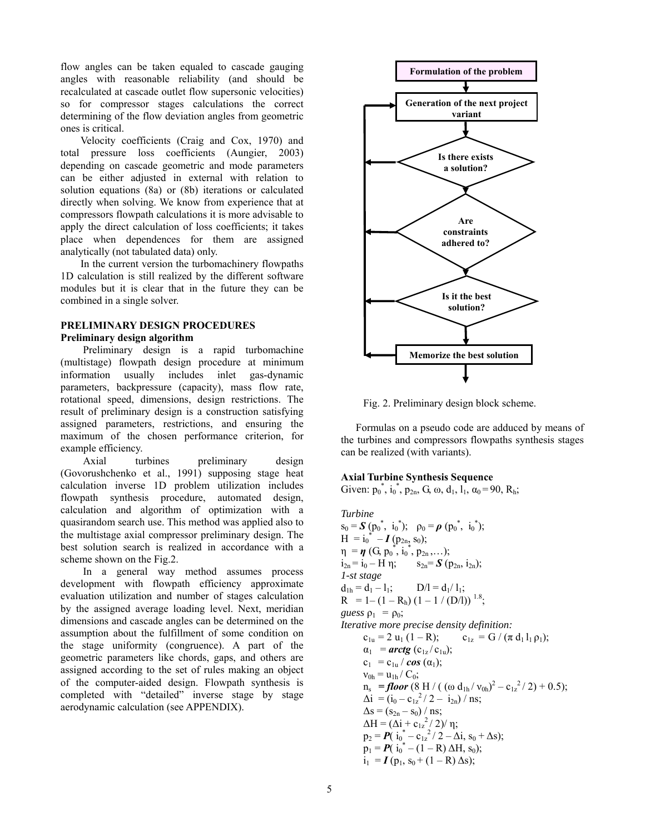flow angles can be taken equaled to cascade gauging angles with reasonable reliability (and should be recalculated at cascade outlet flow supersonic velocities) so for compressor stages calculations the correct determining of the flow deviation angles from geometric ones is critical.

Velocity coefficients (Craig and Cox, 1970) and total pressure loss coefficients (Aungier, 2003) depending on cascade geometric and mode parameters can be either adjusted in external with relation to solution equations (8a) or (8b) iterations or calculated directly when solving. We know from experience that at compressors flowpath calculations it is more advisable to apply the direct calculation of loss coefficients; it takes place when dependences for them are assigned analytically (not tabulated data) only.

In the current version the turbomachinery flowpaths 1D calculation is still realized by the different software modules but it is clear that in the future they can be combined in a single solver.

# **PRELIMINARY DESIGN PROCEDURES**

## **Preliminary design algorithm**

Preliminary design is a rapid turbomachine (multistage) flowpath design procedure at minimum information usually includes inlet gas-dynamic parameters, backpressure (capacity), mass flow rate, rotational speed, dimensions, design restrictions. The result of preliminary design is a construction satisfying assigned parameters, restrictions, and ensuring the maximum of the chosen performance criterion, for example efficiency.

Axial turbines preliminary design (Govorushchenko et al., 1991) supposing stage heat calculation inverse 1D problem utilization includes flowpath synthesis procedure, automated design, calculation and algorithm of optimization with a quasirandom search use. This method was applied also to the multistage axial compressor preliminary design. The best solution search is realized in accordance with a scheme shown on the Fig.2.

In a general way method assumes process development with flowpath efficiency approximate evaluation utilization and number of stages calculation by the assigned average loading level. Next, meridian dimensions and cascade angles can be determined on the assumption about the fulfillment of some condition on the stage uniformity (congruence). A part of the geometric parameters like chords, gaps, and others are assigned according to the set of rules making an object of the computer-aided design. Flowpath synthesis is completed with "detailed" inverse stage by stage aerodynamic calculation (see APPENDIX).



Fig. 2. Preliminary design block scheme.

Formulas on a pseudo code are adduced by means of the turbines and compressors flowpaths synthesis stages can be realized (with variants).

#### **Axial Turbine Synthesis Sequence**

Given:  $p_0^*$ ,  $i_0^*$ ,  $p_{2n}$ , G,  $\omega$ ,  $d_1$ ,  $l_1$ ,  $\alpha_0$ =90,  $R_h$ ;

*Turbine*  $s_0 = S(p_0^*, i_0^*); \rho_0 = \rho(p_0^*, i_0^*);$  $H = i_0^* - I(p_{2n}, s_0);$  $\eta = \eta$  (G,  $p_0^*$ ,  $i_0^*$ ,  $p_{2n}$ ,...);  $i_{2n} = i_0 - H \eta$ ;  $s_{2n} = S (p_{2n}, i_{2n})$ ; *1-st stage*   $d_{1h} = d_1 - l_1;$  D/l =  $d_1$ / l<sub>1</sub>;  $R = 1 - (1 - R_h) (1 - 1 / (D/I))$ <sup>1.8</sup>; *guess*  $\rho_1 = \rho_0$ ; *Iterative more precise density definition:*   $c_{1u} = 2 u_1 (1 - R);$   $c_{1z} = G / (\pi d_1 l_1 \rho_1);$  $\alpha_1$  = *arctg* (c<sub>1z</sub>/c<sub>1u</sub>);  $c_1 = c_{1u} / \cos{(\alpha_1)}$ ;  $v_{0h} = u_{1h}/C_0;$  $n_s$  = **floor** (8 H / ( (ω d<sub>1h</sub> / v<sub>0h</sub>)<sup>2</sup> – c<sub>1z</sub><sup>2</sup>/2) + 0.5);  $\Delta i = (i_0 - c_{1z}^2 / 2 - i_{2n}) / \text{ns};$  $\Delta s = (s_{2n} - s_0) / ns;$  $ΔH = (Δi + c<sub>1z</sub><sup>2</sup>/ 2)/η;$  $p_2 = P(i_0^* - c_{1z}^2 / 2 - \Delta i, s_0 + \Delta s);$  $\mathbf{p}_1 = \mathbf{P}(\mathbf{i}_0^* - (1 - \mathbf{R}) \Delta \mathbf{H}, \mathbf{s}_0);$  $i_1 = I (p_1, s_0 + (1 - R) \Delta s);$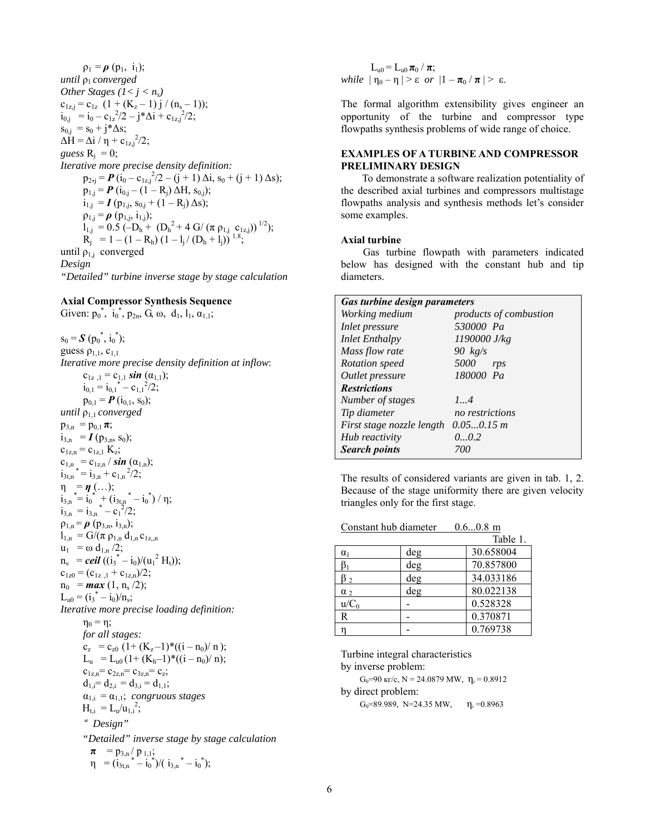$\rho_1 = \rho (p_1, i_1);$ *until*  $ρ<sub>1</sub> converged$ *Other Stages*  $(l < j < n<sub>s</sub>)$  $c_{1z,j} = c_{1z} (1 + (K_z - 1) j / (n_s - 1));$  $i_{0,j}$  =  $i_0 - c_{1z}^2/2 - j^* \Delta i + c_{1z,j}^2/2;$  $s_{0,j} = s_0 + j^* \Delta s;$  $ΔH = Δi / η + c_{1z,j}^{2}/2;$ *guess*  $R_i = 0$ ; *Iterative more precise density definition:*   $p_{2j} = P(i_0 - c_{1z,j}^2/2 - (j + 1) \Delta i, s_0 + (j + 1) \Delta s);$  $p_{1,j} = P(i_{0,j} - (1 - R_j) \Delta H, s_{0,j});$  $i_{1,j} = I (p_{1,j}, s_{0,j} + (1 - R_i) \Delta s);$  $\rho_{1,j} = \rho(p_{1,j}, i_{1,j});$  $l_{1,j} = 0.5 \left(-D_h + (D_h^2 + 4 \text{ G}/(\pi \rho_{1,j} \text{ c}_{1z,j}))\right)^{1/2});$  $R_i$  = 1 – (1 –  $R_h$ ) (1 – 1<sub>i</sub>/( $D_h$  + 1<sub>i</sub>))<sup>1.8</sup>; until  $\rho_{1,j}$  converged *Design "Detailed" turbine inverse stage by stage calculation* 

## **Axial Compressor Synthesis Sequence**

Given:  $p_0^*$ ,  $i_0^*$ ,  $p_{2n}$ ,  $G$ ,  $\omega$ ,  $d_1$ ,  $l_1$ ,  $\alpha_{1,1}$ ;

 $s_0 = S(p_0^*, i_0^*);$ guess  $\rho_{1,1}$ ,  $c_{1,1}$ *Iterative more precise density definition at inflow*:  $c_{1z,1} = c_{1,1} \sin{(\alpha_{1,1})};$  $i_{0,1} = i_{0,1}^* - c_{1,1}^2/2;$  $p_{0,1} = P(i_{0,1}, s_0);$ *until*  $ρ<sub>1.1</sub> converged$  $p_{3,n} = p_{0,1} \pi;$  $i_{3,n}$  =  $I$  (p<sub>3,n</sub>, s<sub>0</sub>);  $c_{1z,n} = c_{1z,1} K_z;$  $c_{1,n} = c_{1z,n} / sin(\alpha_{1,n});$  $i_{3t,n}$  \* =  $i_{3,n}$  +  $c_{1,n}$  <sup>2</sup>/2;  $\eta = \eta$  (...);  $i_{3,n}^* = i_0^* + (i_{3t,n}^* - i_0^*) / \eta;$ <br>  $\vdots$  =  $\vdots$  =  $i_{3n}^* - 2i_0^*$  $i_{3,n} = i_{3,n}^* - c_1^2/2;$  $\rho_{1,n} = \rho$  ( $p_{3,n}, i_{3,n}$ );  $l_{1,n} = G/(\pi \rho_{1,n} d_{1,n} c_{1z,n})$  $u_1 = \omega d_{1,n}/2;$  $n_s$  = *ceil* ((i<sub>3</sub><sup>\*</sup> - i<sub>0</sub>)/(u<sub>1</sub><sup>2</sup> H<sub>t</sub>));  $c_{1z0} = (c_{1z,1} + c_{1z,n})/2;$  $n_0$  = *max* (1,  $n_s$  /2);  $L_{u0} = (i_3^* - i_0)/n_s;$ *Iterative more precise loading definition:*   $\eta_0 = \eta$ ; *for all stages:*   $c_z = c_{z0} (1 + (K_z - 1) * ((i - n_0) / n));$  $L_u = L_{u0} (1 + (K_h-1)*( (i - n_0)/n);$  $c_{1z,n} = c_{2z,n} = c_{3z,n} = c_z;$  $d_{1,i} = d_{2,i} = d_{3,i} = d_{1,1};$  $\alpha_{1,i} = \alpha_{1,1}$ ; *congruous stages*  $H_{t,i} = L_u / u_{1,i}^2$ ; " *Design" "Detailed" inverse stage by stage calculation*   $\pi$  =  $p_{3,n}$ /  $p_{1,1}$ ;  $\eta = (\dot{i}_{3t,n}^* - \dot{i}_0^*)/(\dot{i}_{3,n}^* - \dot{i}_0^*)$ ;

 $L_{u0} = L_{u0} \pi_0 / \pi;$ *while*  $|\eta_0 - \eta| > \varepsilon$  *or*  $|1 - \pi_0 / \pi| > \varepsilon$ .

The formal algorithm extensibility gives engineer an opportunity of the turbine and compressor type flowpaths synthesis problems of wide range of choice.

## **EXAMPLES OF A TURBINE AND COMPRESSOR PRELIMINARY DESIGN**

To demonstrate a software realization potentiality of the described axial turbines and compressors multistage flowpaths analysis and synthesis methods let's consider some examples.

#### **Axial turbine**

Gas turbine flowpath with parameters indicated below has designed with the constant hub and tip diameters.

| Gas turbine design parameters |                        |  |
|-------------------------------|------------------------|--|
| Working medium                | products of combustion |  |
| Inlet pressure                | 530000 Pa              |  |
| <b>Inlet Enthalpy</b>         | $1190000$ J/kg         |  |
| Mass flow rate                | 90 $kg/s$              |  |
| Rotation speed                | 5000<br>rps            |  |
| Outlet pressure               | 180000 Pa              |  |
| <b>Restrictions</b>           |                        |  |
| Number of stages              | 14                     |  |
| Tip diameter                  | no restrictions        |  |
| First stage nozzle length     | $0.050.15 \; m$        |  |
| Hub reactivity                | 00.2                   |  |
| <b>Search points</b>          | 700                    |  |

The results of considered variants are given in tab. 1, 2. Because of the stage uniformity there are given velocity triangles only for the first stage.

| Constant hub diameter |     | $0.60.8$ m |
|-----------------------|-----|------------|
|                       |     | Table 1.   |
| $\alpha_1$            | deg | 30.658004  |
|                       | deg | 70.857800  |
| $\mathcal{D}$         | deg | 34.033186  |
| $\alpha$ ,            | deg | 80.022138  |
| $u/C_0$               |     | 0.528328   |
| R                     |     | 0.370871   |
|                       |     | 0.769738   |

Turbine integral characteristics by inverse problem: G<sub>0</sub>=90 kr/c, N = 24.0879 MW,  $\eta_i$  = 0.8912 by direct problem: G<sub>0</sub>=89.989, N=24.35 MW,  $\eta_i$  =0.8963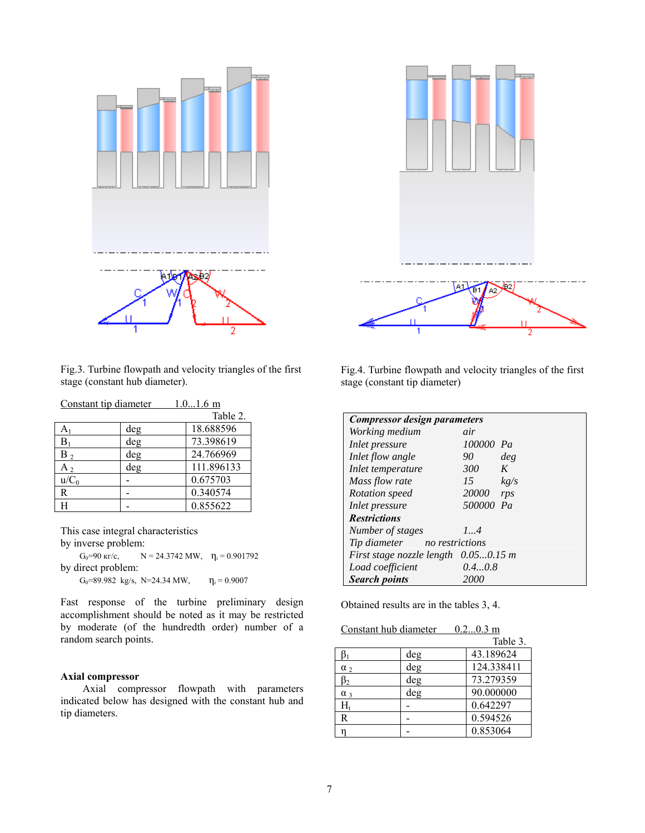

Fig.3. Turbine flowpath and velocity triangles of the first stage (constant hub diameter).

| Constant tip diameter |     | $1.01.6$ m |
|-----------------------|-----|------------|
|                       |     | Table 2.   |
| $A_1$                 | deg | 18.688596  |
| $B_1$                 | deg | 73.398619  |
| $B_2$                 | deg | 24.766969  |
| $A_2$                 | deg | 111.896133 |
| $u/C_0$               |     | 0.675703   |
| R                     |     | 0.340574   |
| H                     |     | 0.855622   |

This case integral characteristics by inverse problem:

G<sub>0</sub>=90 kr/c,  $N = 24.3742$  MW,  $\eta_i = 0.901792$ by direct problem: G<sub>0</sub>=89.982 kg/s, N=24.34 MW,  $\eta_i = 0.9007$ 

Fast response of the turbine preliminary design accomplishment should be noted as it may be restricted by moderate (of the hundredth order) number of a random search points.

## **Axial compressor**

Axial compressor flowpath with parameters indicated below has designed with the constant hub and tip diameters.



Fig.4. Turbine flowpath and velocity triangles of the first stage (constant tip diameter)

| Compressor design parameters           |                 |      |  |
|----------------------------------------|-----------------|------|--|
| Working medium                         | air             |      |  |
| Inlet pressure                         | 100000 Pa       |      |  |
| Inlet flow angle                       | 90              | deg  |  |
| Inlet temperature                      | 300             | K    |  |
| Mass flow rate                         | 15 <sup>7</sup> | kg/s |  |
| Rotation speed                         | 20000           | rps  |  |
| Inlet pressure                         | 500000 Pa       |      |  |
| <b>Restrictions</b>                    |                 |      |  |
| Number of stages                       | 14              |      |  |
| Tip diameter no restrictions           |                 |      |  |
| First stage nozzle length $0.050.15$ m |                 |      |  |
| Load coefficient                       | 0.40.8          |      |  |
| <b>Search points</b>                   | 2000            |      |  |

Obtained results are in the tables 3, 4.

|--|

|             |     | Table 3.   |
|-------------|-----|------------|
|             | deg | 43.189624  |
| $\alpha_2$  | deg | 124.338411 |
| $B_{2}$     | deg | 73.279359  |
| $\alpha$ 3  | deg | 90.000000  |
| $\rm H_{t}$ |     | 0.642297   |
| R           |     | 0.594526   |
|             |     | 0.853064   |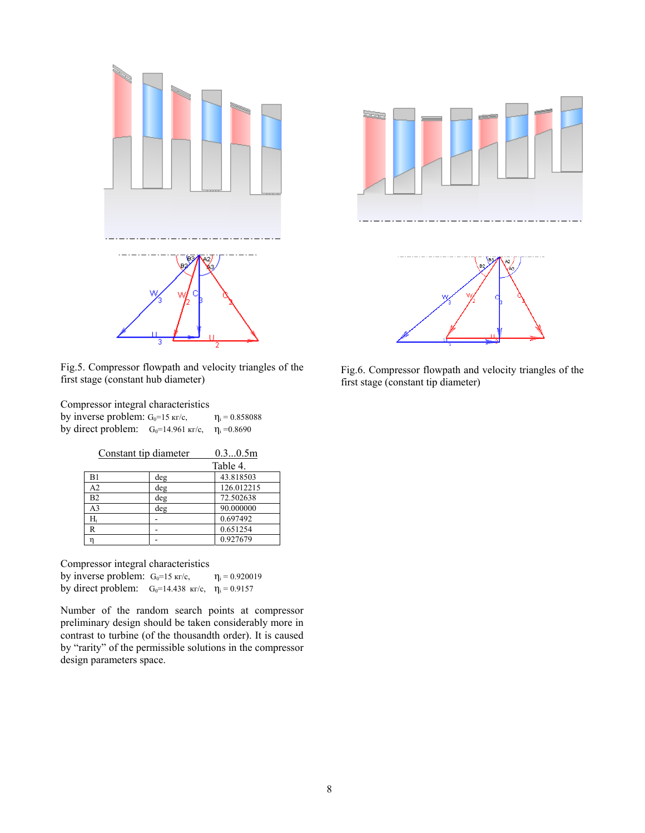

Fig.5. Compressor flowpath and velocity triangles of the first stage (constant hub diameter)

Compressor integral characteristics by inverse problem:  $G_0=15 \text{ m/c}$ ,  $\eta_i = 0.858088$ by direct problem:  $G_0=14.961 \text{ kT/c}$ ,  $\eta_i = 0.8690$ 

| Constant tip diameter |     | 0.30.5m    |
|-----------------------|-----|------------|
|                       |     | Table 4.   |
| B1                    | deg | 43.818503  |
| A <sub>2</sub>        | deg | 126.012215 |
| B <sub>2</sub>        | deg | 72.502638  |
| A <sub>3</sub>        | deg | 90.000000  |
| $H_t$                 |     | 0.697492   |
| R                     |     | 0.651254   |
|                       |     | 0.927679   |

Compressor integral characteristics

by inverse problem:  $G_0=15 \text{ kr/c}$ ,  $\eta_i = 0.920019$ by direct problem:  $G_0=14.438 \text{ kr/c}, \eta_i=0.9157$ 

Number of the random search points at compressor preliminary design should be taken considerably more in contrast to turbine (of the thousandth order). It is caused by "rarity" of the permissible solutions in the compressor design parameters space.





Fig.6. Compressor flowpath and velocity triangles of the first stage (constant tip diameter)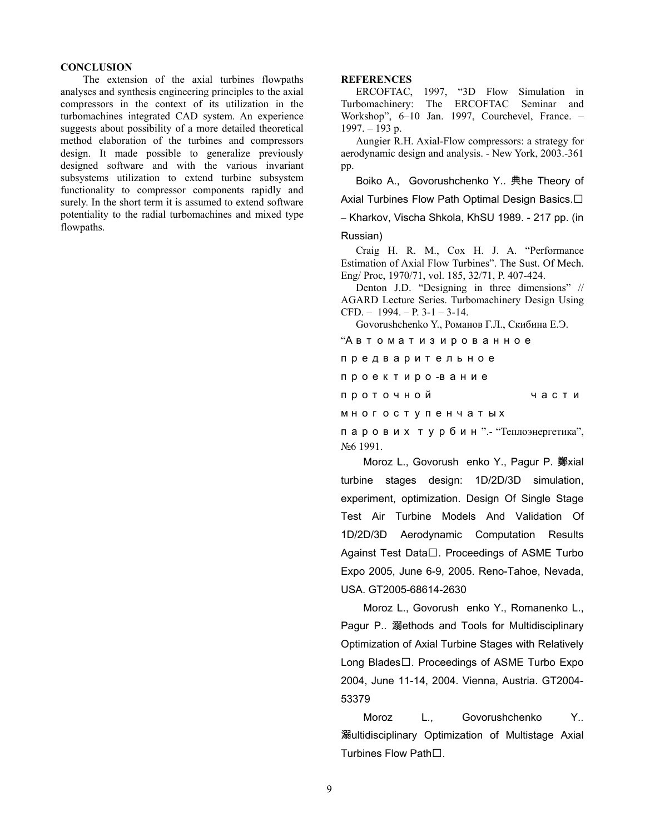#### **CONCLUSION**

The extension of the axial turbines flowpaths analyses and synthesis engineering principles to the axial compressors in the context of its utilization in the turbomachines integrated CAD system. An experience suggests about possibility of a more detailed theoretical method elaboration of the turbines and compressors design. It made possible to generalize previously designed software and with the various invariant subsystems utilization to extend turbine subsystem functionality to compressor components rapidly and surely. In the short term it is assumed to extend software potentiality to the radial turbomachines and mixed type flowpaths.

#### **REFERENCES**

ERCOFTAC, 1997, "3D Flow Simulation in Turbomachinery: The ERCOFTAC Seminar and Workshop", 6–10 Jan. 1997, Courchevel, France. –  $1997. - 193$  p.

Aungier R.H. Axial-Flow compressors: a strategy for aerodynamic design and analysis. - New York, 2003.-361 pp.

Boiko A., Govorushchenko Y.. 典he Theory of Axial Turbines Flow Path Optimal Design Basics.  $\Box$ – Kharkov, Vischa Shkola, KhSU 1989. - 217 pp. (in

#### Russian)

Craig H. R. M., Cox H. J. A. "Performance Estimation of Axial Flow Turbines". The Sust. Of Mech. Eng/ Proc, 1970/71, vol. 185, 32/71, P. 407-424.

Denton J.D. "Designing in three dimensions" // AGARD Lecture Series. Turbomachinery Design Using CFD.  $-1994. - P. 3-1-3-14.$ 

Govorushchenko Y., Романов Г.Л., Скибина Е.Э.

"А в т о м а т и з и ров анное

п р е д в арит е л ь ное п р о е к т и р о -в а н и е проточной части многоступенчатых

п а ров и х т у р б и н ".- "Теплоэнергетика", №6 1991.

Moroz L., Govorush enko Y., Pagur P. 鄭xial turbine stages design: 1D/2D/3D simulation, experiment, optimization. Design Of Single Stage Test Air Turbine Models And Validation Of 1D/2D/3D Aerodynamic Computation Results Against Test Data $\square$ . Proceedings of ASME Turbo Expo 2005, June 6-9, 2005. Reno-Tahoe, Nevada, USA. GT2005-68614-2630

Moroz L., Govorush enko Y., Romanenko L., Pagur P.. 溺ethods and Tools for Multidisciplinary Optimization of Axial Turbine Stages with Relatively Long Blades $\Box$ . Proceedings of ASME Turbo Expo 2004, June 11-14, 2004. Vienna, Austria. GT2004- 53379

Moroz L., Govorushchenko Y.. 溺ultidisciplinary Optimization of Multistage Axial Turbines Flow Path□.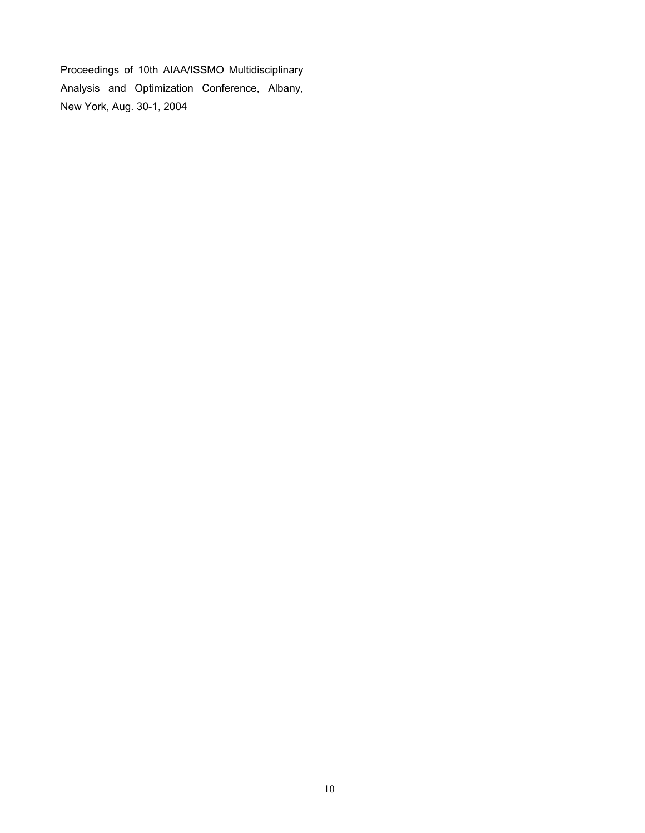Proceedings of 10th AIAA/ISSMO Multidisciplinary Analysis and Optimization Conference, Albany, New York, Aug. 30-1, 2004